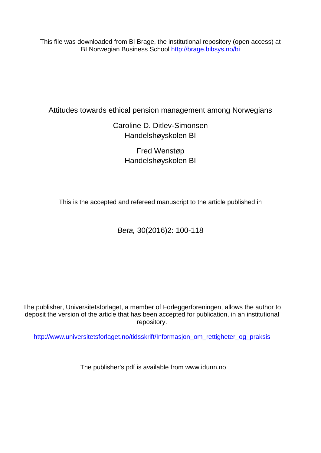This file was downloaded from BI Brage, the institutional repository (open access) at BI Norwegian Business School http://brage.bibsys.no/bi

Attitudes towards ethical pension management among Norwegians

Caroline D. Ditlev-Simonsen Handelshøyskolen BI

> Fred Wenstøp Handelshøyskolen BI

This is the accepted and refereed manuscript to the article published in

*Beta,* 30(2016)2: 100-118

The publisher, Universitetsforlaget, a member of Forleggerforeningen, allows the author to deposit the version of the article that has been accepted for publication, in an institutional repository.

[http://www.universitetsforlaget.no/tidsskrift/Informasjon\\_om\\_rettigheter\\_og\\_praksis](http://www.universitetsforlaget.no/tidsskrift/Informasjon_om_rettigheter_og_praksis)

The publisher's pdf is available from www.idunn.no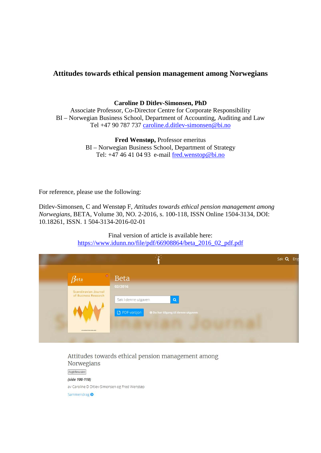## **Attitudes towards ethical pension management among Norwegians**

**Caroline D Ditlev-Simonsen, PhD**

Associate Professor, Co-Director Centre for Corporate Responsibility BI – Norwegian Business School, Department of Accounting, Auditing and Law Tel +47 90 787 737 [caroline.d.ditlev-simonsen@bi.no](mailto:caroline.d.ditlev-simonsen@bi.no)

> **Fred Wenstøp,** Professor emeritus BI – Norwegian Business School, Department of Strategy Tel: +47 46 41 04 93 e-mail [fred.wenstop@bi.no](mailto:fred.wenstop@bi.no)

For reference, please use the following:

Ditlev-Simonsen, C and Wenstøp F, *Attitudes towards ethical pension management among Norwegians*, BETA, Volume 30, NO. 2-2016, s. 100-118, ISSN Online 1504-3134, DOI: 10.18261, ISSN. 1 504-3134-2016-02-01

> Final version of article is available here: https://www.idunn.no/file/pdf/66908864/beta\_2016\_02\_pdf.pdf

| $\beta$ eta                                                          | $\,\oplus\,$<br><b>Beta</b>                                                                        |  |
|----------------------------------------------------------------------|----------------------------------------------------------------------------------------------------|--|
| Scandinavian Journal<br>of Business Research<br>UNIVERSITETSFORLAGET | 02/2016<br>$\mathbf Q$<br>Søk i denne utgaven<br>PDF-versjon<br>O Du har tilgang til denne utgaven |  |

Attitudes towards ethical pension management among Norwegians

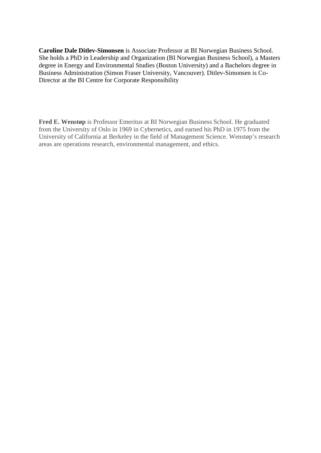**Caroline Dale Ditlev-Simonsen** is Associate Professor at BI Norwegian Business School. She holds a PhD in Leadership and Organization (BI Norwegian Business School), a Masters degree in Energy and Environmental Studies (Boston University) and a Bachelors degree in Business Administration (Simon Fraser University, Vancouver). Ditlev-Simonsen is Co-Director at the BI Centre for Corporate Responsibility

**Fred E. Wenstøp** is Professor Emeritus at BI Norwegian Business School. He graduated from the University of Oslo in 1969 in Cybernetics, and earned his PhD in 1975 from the University of California at Berkeley in the field of Management Science. Wenstøp's research areas are operations research, environmental management, and ethics.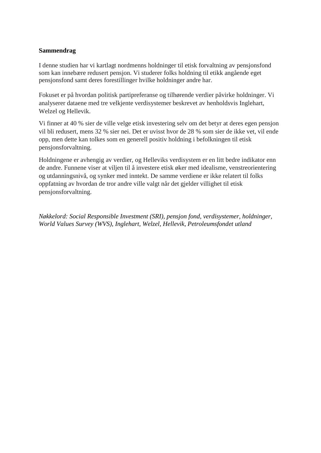### **Sammendrag**

I denne studien har vi kartlagt nordmenns holdninger til etisk forvaltning av pensjonsfond som kan innebære redusert pensjon. Vi studerer folks holdning til etikk angående eget pensjonsfond samt deres forestillinger hvilke holdninger andre har.

Fokuset er på hvordan politisk partipreferanse og tilhørende verdier påvirke holdninger. Vi analyserer dataene med tre velkjente verdisystemer beskrevet av henholdsvis Inglehart, Welzel og Hellevik.

Vi finner at 40 % sier de ville velge etisk investering selv om det betyr at deres egen pensjon vil bli redusert, mens 32 % sier nei. Det er uvisst hvor de 28 % som sier de ikke vet, vil ende opp, men dette kan tolkes som en generell positiv holdning i befolkningen til etisk pensjonsforvaltning.

Holdningene er avhengig av verdier, og Helleviks verdisystem er en litt bedre indikator enn de andre. Funnene viser at viljen til å investere etisk øker med idealisme, venstreorientering og utdanningsnivå, og synker med inntekt. De samme verdiene er ikke relatert til folks oppfatning av hvordan de tror andre ville valgt når det gjelder villighet til etisk pensjonsforvaltning.

*Nøkkelord: Social Responsible Investment (SRI), pensjon fond, verdisystemer, holdninger, World Values Survey (WVS), Inglehart, Welzel, Hellevik, Petroleumsfondet utland*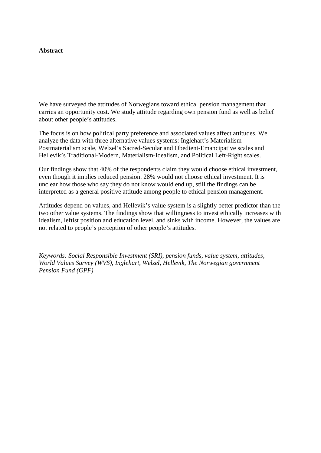### **Abstract**

We have surveyed the attitudes of Norwegians toward ethical pension management that carries an opportunity cost. We study attitude regarding own pension fund as well as belief about other people's attitudes.

The focus is on how political party preference and associated values affect attitudes. We analyze the data with three alternative values systems: Inglehart's Materialism-Postmaterialism scale, Welzel's Sacred-Secular and Obedient-Emancipative scales and Hellevik's Traditional-Modern, Materialism-Idealism, and Political Left-Right scales.

Our findings show that 40% of the respondents claim they would choose ethical investment, even though it implies reduced pension. 28% would not choose ethical investment. It is unclear how those who say they do not know would end up, still the findings can be interpreted as a general positive attitude among people to ethical pension management.

Attitudes depend on values, and Hellevik's value system is a slightly better predictor than the two other value systems. The findings show that willingness to invest ethically increases with idealism, leftist position and education level, and sinks with income. However, the values are not related to people's perception of other people's attitudes.

*Keywords: Social Responsible Investment (SRI), pension funds, value system, attitudes, World Values Survey (WVS), Inglehart, Welzel, Hellevik, The Norwegian government Pension Fund (GPF)*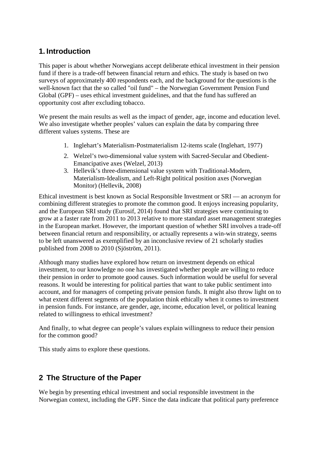# **1. Introduction**

This paper is about whether Norwegians accept deliberate ethical investment in their pension fund if there is a trade-off between financial return and ethics. The study is based on two surveys of approximately 400 respondents each, and the background for the questions is the well-known fact that the so called "oil fund" – the Norwegian Government Pension Fund Global (GPF) – uses ethical investment guidelines, and that the fund has suffered an opportunity cost after excluding tobacco.

We present the main results as well as the impact of gender, age, income and education level. We also investigate whether peoples' values can explain the data by comparing three different values systems. These are

- 1. Inglehart's Materialism-Postmaterialism 12-items scale (Inglehart, 1977)
- 2. Welzel's two-dimensional value system with Sacred-Secular and Obedient-Emancipative axes (Welzel, 2013)
- 3. Hellevik's three-dimensional value system with Traditional-Modern, Materialism-Idealism, and Left-Right political position axes (Norwegian Monitor) (Hellevik, 2008)

Ethical investment is best known as Social Responsible Investment or SRI — an acronym for combining different strategies to promote the common good. It enjoys increasing popularity, and the European SRI study (Eurosif, 2014) found that SRI strategies were continuing to grow at a faster rate from 2011 to 2013 relative to more standard asset management strategies in the European market. However, the important question of whether SRI involves a trade-off between financial return and responsibility, or actually represents a win-win strategy, seems to be left unanswered as exemplified by an inconclusive review of 21 scholarly studies published from 2008 to 2010 (Sjöström, 2011).

Although many studies have explored how return on investment depends on ethical investment, to our knowledge no one has investigated whether people are willing to reduce their pension in order to promote good causes. Such information would be useful for several reasons. It would be interesting for political parties that want to take public sentiment into account, and for managers of competing private pension funds. It might also throw light on to what extent different segments of the population think ethically when it comes to investment in pension funds. For instance, are gender, age, income, education level, or political leaning related to willingness to ethical investment?

And finally, to what degree can people's values explain willingness to reduce their pension for the common good?

This study aims to explore these questions.

# **2 The Structure of the Paper**

We begin by presenting ethical investment and social responsible investment in the Norwegian context, including the GPF. Since the data indicate that political party preference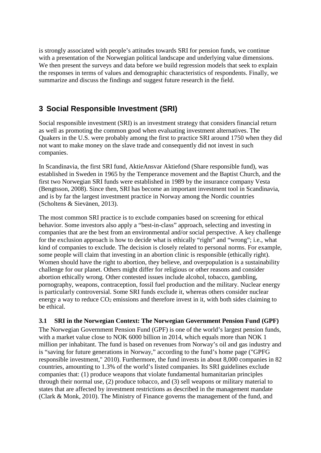is strongly associated with people's attitudes towards SRI for pension funds, we continue with a presentation of the Norwegian political landscape and underlying value dimensions. We then present the surveys and data before we build regression models that seek to explain the responses in terms of values and demographic characteristics of respondents. Finally, we summarize and discuss the findings and suggest future research in the field.

# **3 Social Responsible Investment (SRI)**

Social responsible investment (SRI) is an investment strategy that considers financial return as well as promoting the common good when evaluating investment alternatives. The Quakers in the U.S. were probably among the first to practice SRI around 1750 when they did not want to make money on the slave trade and consequently did not invest in such companies.

In Scandinavia, the first SRI fund, AktieAnsvar Aktiefond (Share responsible fund), was established in Sweden in 1965 by the Temperance movement and the Baptist Church, and the first two Norwegian SRI funds were established in 1989 by the insurance company Vesta (Bengtsson, 2008). Since then, SRI has become an important investment tool in Scandinavia, and is by far the largest investment practice in Norway among the Nordic countries (Scholtens & Sievänen, 2013).

The most common SRI practice is to exclude companies based on screening for ethical behavior. Some investors also apply a "best-in-class" approach, selecting and investing in companies that are the best from an environmental and/or social perspective. A key challenge for the exclusion approach is how to decide what is ethically "right" and "wrong"; i.e., what kind of companies to exclude. The decision is closely related to personal norms. For example, some people will claim that investing in an abortion clinic is responsible (ethically right). Women should have the right to abortion, they believe, and overpopulation is a sustainability challenge for our planet. Others might differ for religious or other reasons and consider abortion ethically wrong. Other contested issues include alcohol, tobacco, gambling, pornography, weapons, contraception, fossil fuel production and the military. Nuclear energy is particularly controversial. Some SRI funds exclude it, whereas others consider nuclear energy a way to reduce  $CO<sub>2</sub>$  emissions and therefore invest in it, with both sides claiming to be ethical.

## **3.1 SRI in the Norwegian Context: The Norwegian Government Pension Fund (GPF)**

The Norwegian Government Pension Fund (GPF) is one of the world's largest pension funds, with a market value close to NOK 6000 billion in 2014, which equals more than NOK 1 million per inhabitant. The fund is based on revenues from Norway's oil and gas industry and is "saving for future generations in Norway," according to the fund's home page ("GPFG responsible investment," 2010). Furthermore, the fund invests in about 8,000 companies in 82 countries, amounting to 1.3% of the world's listed companies. Its SRI guidelines exclude companies that: (1) produce weapons that violate fundamental humanitarian principles through their normal use, (2) produce tobacco, and (3) sell weapons or military material to states that are affected by investment restrictions as described in the management mandate (Clark & Monk, 2010). The Ministry of Finance governs the management of the fund, and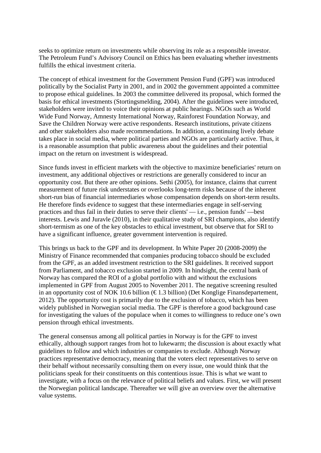seeks to optimize return on investments while observing its role as a responsible investor. The Petroleum Fund's Advisory Council on Ethics has been evaluating whether investments fulfills the ethical investment criteria.

The concept of ethical investment for the Government Pension Fund (GPF) was introduced politically by the Socialist Party in 2001, and in 2002 the government appointed a committee to propose ethical guidelines. In 2003 the committee delivered its proposal, which formed the basis for ethical investments (Stortingsmelding, 2004). After the guidelines were introduced, stakeholders were invited to voice their opinions at public hearings. NGOs such as World Wide Fund Norway, Amnesty International Norway, Rainforest Foundation Norway, and Save the Children Norway were active respondents. Research institutions, private citizens and other stakeholders also made recommendations. In addition, a continuing lively debate takes place in social media, where political parties and NGOs are particularly active. Thus, it is a reasonable assumption that public awareness about the guidelines and their potential impact on the return on investment is widespread.

Since funds invest in efficient markets with the objective to maximize beneficiaries' return on investment, any additional objectives or restrictions are generally considered to incur an opportunity cost. But there are other opinions. Sethi (2005), for instance, claims that current measurement of future risk understates or overlooks long-term risks because of the inherent short-run bias of financial intermediaries whose compensation depends on short-term results. He therefore finds evidence to suggest that these intermediaries engage in self-serving practices and thus fail in their duties to serve their clients' — i.e., pension funds' —best interests. Lewis and Juravle (2010), in their qualitative study of SRI champions, also identify short-termism as one of the key obstacles to ethical investment, but observe that for SRI to have a significant influence, greater government intervention is required.

This brings us back to the GPF and its development. In White Paper 20 (2008-2009) the Ministry of Finance recommended that companies producing tobacco should be excluded from the GPF, as an added investment restriction to the SRI guidelines. It received support from Parliament, and tobacco exclusion started in 2009. In hindsight, the central bank of Norway has compared the ROI of a global portfolio with and without the exclusions implemented in GPF from August 2005 to November 2011. The negative screening resulted in an opportunity cost of NOK 10.6 billion ( $\epsilon$ 1.3 billion) (Det Konglige Finansdepartement, 2012). The opportunity cost is primarily due to the exclusion of tobacco, which has been widely published in Norwegian social media. The GPF is therefore a good background case for investigating the values of the populace when it comes to willingness to reduce one's own pension through ethical investments.

The general consensus among all political parties in Norway is for the GPF to invest ethically, although support ranges from hot to lukewarm; the discussion is about exactly what guidelines to follow and which industries or companies to exclude. Although Norway practices representative democracy, meaning that the voters elect representatives to serve on their behalf without necessarily consulting them on every issue, one would think that the politicians speak for their constituents on this contentious issue. This is what we want to investigate, with a focus on the relevance of political beliefs and values. First, we will present the Norwegian political landscape. Thereafter we will give an overview over the alternative value systems.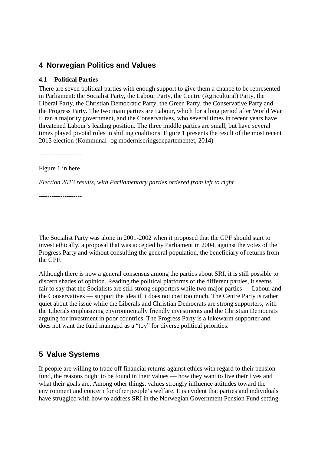# **4 Norwegian Politics and Values**

### **4.1 Political Parties**

There are seven political parties with enough support to give them a chance to be represented in Parliament: the Socialist Party, the Labour Party, the Centre (Agricultural) Party, the Liberal Party, the Christian Democratic Party, the Green Party, the Conservative Party and the Progress Party. The two main parties are Labour, which for a long period after World War II ran a majority government, and the Conservatives, who several times in recent years have threatened Labour's leading position. The three middle parties are small, but have several times played pivotal roles in shifting coalitions. Figure 1 presents the result of the most recent 2013 election (Kommunal- [og moderniseringsdepartementet, 2014\)](#page-21-0)

--------------------

Figure 1 in here

*Election 2013 results, with Parliamentary parties ordered from left to right*

--------------------

The Socialist Party was alone in 2001-2002 when it proposed that the GPF should start to invest ethically, a proposal that was accepted by Parliament in 2004, against the votes of the Progress Party and without consulting the general population, the beneficiary of returns from the GPF.

Although there is now a general consensus among the parties about SRI, it is still possible to discern shades of opinion. Reading the political platforms of the different parties, it seems fair to say that the Socialists are still strong supporters while two major parties — Labour and the Conservatives — support the idea if it does not cost too much. The Centre Party is rather quiet about the issue while the Liberals and Christian Democrats are strong supporters, with the Liberals emphasizing environmentally friendly investments and the Christian Democrats arguing for investment in poor countries. The Progress Party is a lukewarm supporter and does not want the fund managed as a "toy" for diverse political priorities.

# **5 Value Systems**

If people are willing to trade off financial returns against ethics with regard to their pension fund, the reasons ought to be found in their values — how they want to live their lives and what their goals are. Among other things, values strongly influence attitudes toward the environment and concern for other people's welfare. It is evident that parties and individuals have struggled with how to address SRI in the Norwegian Government Pension Fund setting.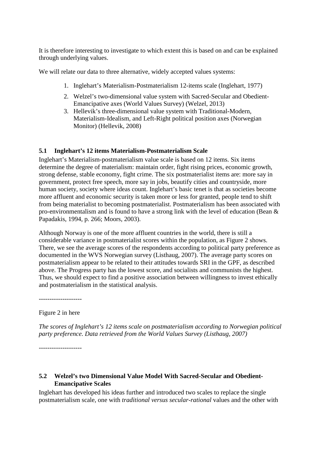It is therefore interesting to investigate to which extent this is based on and can be explained through underlying values.

We will relate our data to three alternative, widely accepted values systems:

- 1. Inglehart's Materialism-Postmaterialism 12-items scale (Inglehart, 1977)
- 2. Welzel's two-dimensional value system with Sacred-Secular and Obedient-Emancipative axes (World Values Survey) (Welzel, 2013)
- 3. Hellevik's three-dimensional value system with Traditional-Modern, Materialism-Idealism, and Left-Right political position axes (Norwegian Monitor) (Hellevik, 2008)

### **5.1 Inglehart's 12 items Materialism-Postmaterialism Scale**

Inglehart's Materialism-postmaterialism value scale is based on 12 items. Six items determine the degree of materialism: maintain order, fight rising prices, economic growth, strong defense, stable economy, fight crime. The six postmaterialist items are: more say in government, protect free speech, more say in jobs, beautify cities and countryside, more human society, society where ideas count. Inglehart's basic tenet is that as societies become more affluent and economic security is taken more or less for granted, people tend to shift from being materialist to becoming postmaterialist. Postmaterialism has been associated with pro-environmentalism and is found to have a strong link with the level of education (Bean & Papadakis, 1994, p. 266; Moors, 2003).

Although Norway is one of the more affluent countries in the world, there is still a considerable variance in postmaterialist scores within the population, as Figure 2 shows. There, we see the average scores of the respondents according to political party preference as documented in the WVS Norwegian survey (Listhaug, 2007). The average party scores on postmaterialism appear to be related to their attitudes towards SRI in the GPF, as described above. The Progress party has the lowest score, and socialists and communists the highest. Thus, we should expect to find a positive association between willingness to invest ethically and postmaterialism in the statistical analysis.

--------------------

Figure 2 in here

*The scores of Inglehart's 12 items scale on postmaterialism according to Norwegian political party preference. Data retrieved from the World Values Survey (Listhaug, 2007)*

--------------------

### **5.2 Welzel's two Dimensional Value Model With Sacred-Secular and Obedient-Emancipative Scales**

Inglehart has developed his ideas further and introduced two scales to replace the single postmaterialism scale, one with *traditional versus secular-rational* values and the other with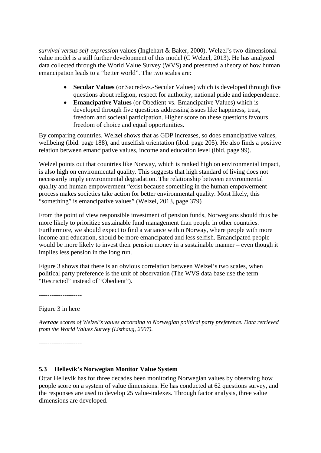*survival versus self-expression* values (Inglehart & Baker, 2000). Welzel's two-dimensional value model is a still further development of this model (C Welzel, 2013). He has analyzed data collected through the World Value Survey (WVS) and presented a theory of how human emancipation leads to a "better world". The two scales are:

- **Secular Values** (or Sacred-vs.-Secular Values) which is developed through five questions about religion, respect for authority, national pride and independence.
- **Emancipative Values** (or Obedient-vs.-Emancipative Values) which is developed through five questions addressing issues like happiness, trust, freedom and societal participation. Higher score on these questions favours freedom of choice and equal opportunities.

By comparing countries, Welzel shows that as GDP increases, so does emancipative values, wellbeing (ibid. page 188), and unselfish orientation (ibid. page 205). He also finds a positive relation between emancipative values, income and education level (ibid. page 99).

Welzel points out that countries like Norway, which is ranked high on environmental impact, is also high on environmental quality. This suggests that high standard of living does not necessarily imply environmental degradation. The relationship between environmental quality and human empowerment "exist because something in the human empowerment process makes societies take action for better environmental quality. Most likely, this "something" is emancipative values" (Welzel, 2013, page 379)

From the point of view responsible investment of pension funds, Norwegians should thus be more likely to prioritize sustainable fund management than people in other countries. Furthermore, we should expect to find a variance within Norway, where people with more income and education, should be more emancipated and less selfish. Emancipated people would be more likely to invest their pension money in a sustainable manner – even though it implies less pension in the long run.

Figure 3 shows that there is an obvious correlation between Welzel's two scales, when political party preference is the unit of observation (The WVS data base use the term "Restricted" instead of "Obedient").

--------------------

Figure 3 in here

*Average scores of Welzel's values according to Norwegian political party preference. Data retrieved from the World Values Survey (Listhaug, 2007).*

--------------------

## **5.3 Hellevik's Norwegian Monitor Value System**

Ottar Hellevik has for three decades been monitoring Norwegian values by observing how people score on a system of value dimensions. He has conducted at 62 questions survey, and the responses are used to develop 25 value-indexes. Through factor analysis, three value dimensions are developed.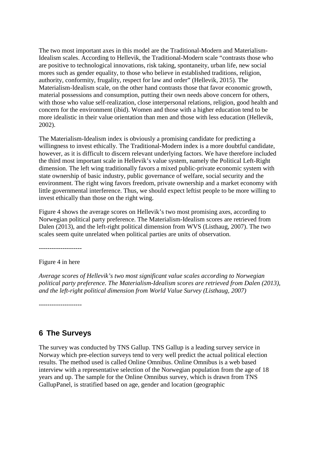The two most important axes in this model are the Traditional-Modern and Materialism-Idealism scales. According to Hellevik, the Traditional-Modern scale "contrasts those who are positive to technological innovations, risk taking, spontaneity, urban life, new social mores such as gender equality, to those who believe in established traditions, religion, authority, conformity, frugality, respect for law and order" (Hellevik, 2015). The Materialism-Idealism scale, on the other hand contrasts those that favor economic growth, material possessions and consumption, putting their own needs above concern for others, with those who value self-realization, close interpersonal relations, religion, good health and concern for the environment (ibid). Women and those with a higher education tend to be more idealistic in their value orientation than men and those with less education (Hellevik, 2002).

The Materialism-Idealism index is obviously a promising candidate for predicting a willingness to invest ethically. The Traditional-Modern index is a more doubtful candidate, however, as it is difficult to discern relevant underlying factors. We have therefore included the third most important scale in Hellevik's value system, namely the Political Left-Right dimension. The left wing traditionally favors a mixed public-private economic system with state ownership of basic industry, public governance of welfare, social security and the environment. The right wing favors freedom, private ownership and a market economy with little governmental interference. Thus, we should expect leftist people to be more willing to invest ethically than those on the right wing.

Figure 4 shows the average scores on Hellevik's two most promising axes, according to Norwegian political party preference. The Materialism-Idealism scores are retrieved from Dalen (2013), and the left-right political dimension from WVS (Listhaug, 2007). The two scales seem quite unrelated when political parties are units of observation.

--------------------

Figure 4 in here

*Average scores of Hellevik's two most significant value scales according to Norwegian political party preference. The Materialism-Idealism scores are retrieved from Dalen (2013), and the left-right political dimension from World Value Survey (Listhaug, 2007)*

--------------------

## **6 The Surveys**

The survey was conducted by TNS Gallup. TNS Gallup is a leading survey service in Norway which pre-election surveys tend to very well predict the actual political election results. The method used is called Online Omnibus. Online Omnibus is a web based interview with a representative selection of the Norwegian population from the age of 18 years and up. The sample for the Online Omnibus survey, which is drawn from TNS GallupPanel, is stratified based on age, gender and location (geographic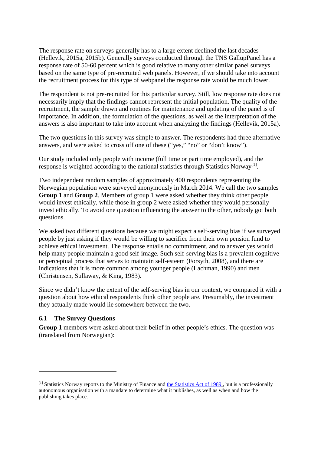The response rate on surveys generally has to a large extent declined the last decades [\(Hellevik, 2015a,](#page-20-0) [2015b\)](#page-21-1). Generally surveys conducted through the TNS GallupPanel has a response rate of 50-60 percent which is good relative to many other similar panel surveys based on the same type of pre-recruited web panels. However, if we should take into account the recruitment process for this type of webpanel the response rate would be much lower.

The respondent is not pre-recruited for this particular survey. Still, low response rate does not necessarily imply that the findings cannot represent the initial population. The quality of the recruitment, the sample drawn and routines for maintenance and updating of the panel is of importance. In addition, the formulation of the questions, as well as the interpretation of the answers is also important to take into account when analyzing the findings [\(Hellevik, 2015a\)](#page-20-0).

The two questions in this survey was simple to answer. The respondents had three alternative answers, and were asked to cross off one of these ("yes," "no" or "don't know").

Our study included only people with income (full time or part time employed), and the response is weighted according to the national statistics through Statistics Norway<sup>[\[1\]](#page-12-0)</sup>.

Two independent random samples of approximately 400 respondents representing the Norwegian population were surveyed anonymously in March 2014. We call the two samples **Group 1** and **Group 2**. Members of group 1 were asked whether they think other people would invest ethically, while those in group 2 were asked whether they would personally invest ethically. To avoid one question influencing the answer to the other, nobody got both questions.

We asked two different questions because we might expect a self-serving bias if we surveyed people by just asking if they would be willing to sacrifice from their own pension fund to achieve ethical investment. The response entails no commitment, and to answer yes would help many people maintain a good self-image. Such self-serving bias is a prevalent cognitive or perceptual process that serves to maintain self-esteem (Forsyth, 2008), and there are indications that it is more common among younger people (Lachman, 1990) and men (Christensen, Sullaway, & King, 1983).

Since we didn't know the extent of the self-serving bias in our context, we compared it with a question about how ethical respondents think other people are. Presumably, the investment they actually made would lie somewhere between the two.

#### **6.1 The Survey Questions**

-

**Group 1** members were asked about their belief in other people's ethics. The question was (translated from Norwegian):

<span id="page-12-0"></span><sup>&</sup>lt;sup>[1]</sup> Statistics Norway reports to the Ministry of Finance and [the Statistics Act of 1989](https://urldefense.proofpoint.com/v2/url?u=http-3A__www.ssb.no_en_omssb_styringsdokumenter_lover-2Dog-2Dprinsipper_the-2Dstatistics-2Dact-2Dof-2D1989&d=CwMGaQ&c=zdK58V2JKULZdB8nuBRpog&r=d72k8Dyl9DZcUp2YGladSMZRIm4e2vTYs7nBQ1DU6jU&m=ZEpmRIJ9nGhwId3zBzy4HEcAJX38bzDiTvuch8Y5kKo&s=SpglOFFAW--x_Hq6n8hHoxkVOmFgQqTdLqq9UPLeQXI&e=), but is a professionally autonomous organisation with a mandate to determine what it publishes, as well as when and how the publishing takes place.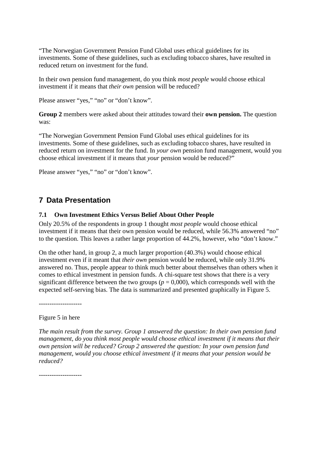"The Norwegian Government Pension Fund Global uses ethical guidelines for its investments. Some of these guidelines, such as excluding tobacco shares, have resulted in reduced return on investment for the fund.

In their own pension fund management, do you think *most people* would choose ethical investment if it means that *their own* pension will be reduced?

Please answer "yes," "no" or "don't know".

**Group 2** members were asked about their attitudes toward their **own pension.** The question was:

"The Norwegian Government Pension Fund Global uses ethical guidelines for its investments. Some of these guidelines, such as excluding tobacco shares, have resulted in reduced return on investment for the fund. In *your own* pension fund management, would you choose ethical investment if it means that *your* pension would be reduced?"

Please answer "yes," "no" or "don't know".

## **7 Data Presentation**

#### **7.1 Own Investment Ethics Versus Belief About Other People**

Only 20.5% of the respondents in group 1 thought *most people* would choose ethical investment if it means that their own pension would be reduced, while 56.3% answered "no" to the question. This leaves a rather large proportion of 44.2%, however, who "don't know."

On the other hand, in group 2, a much larger proportion (40.3%) would choose ethical investment even if it meant that *their own* pension would be reduced, while only 31.9% answered no. Thus, people appear to think much better about themselves than others when it comes to ethical investment in pension funds. A chi-square test shows that there is a very significant difference between the two groups ( $p = 0.000$ ), which corresponds well with the expected self-serving bias. The data is summarized and presented graphically in Figure 5.

--------------------

Figure 5 in here

*The main result from the survey. Group 1 answered the question: In their own pension fund management, do you think most people would choose ethical investment if it means that their own pension will be reduced? Group 2 answered the question: In your own pension fund management, would you choose ethical investment if it means that your pension would be reduced?* 

--------------------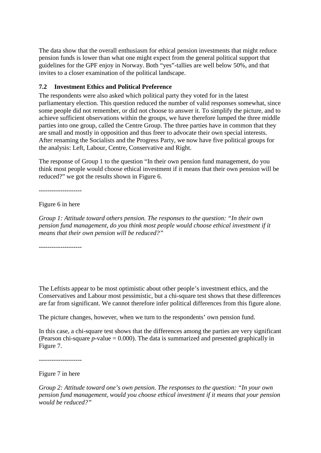The data show that the overall enthusiasm for ethical pension investments that might reduce pension funds is lower than what one might expect from the general political support that guidelines for the GPF enjoy in Norway. Both "yes"-tallies are well below 50%, and that invites to a closer examination of the political landscape.

### **7.2 Investment Ethics and Political Preference**

The respondents were also asked which political party they voted for in the latest parliamentary election. This question reduced the number of valid responses somewhat, since some people did not remember, or did not choose to answer it. To simplify the picture, and to achieve sufficient observations within the groups, we have therefore lumped the three middle parties into one group, called the Centre Group. The three parties have in common that they are small and mostly in opposition and thus freer to advocate their own special interests. After renaming the Socialists and the Progress Party, we now have five political groups for the analysis: Left, Labour, Centre, Conservative and Right.

The response of Group 1 to the question "In their own pension fund management, do you think most people would choose ethical investment if it means that their own pension will be reduced?" we got the results shown in Figure 6.

--------------------

Figure 6 in here

*Group 1: Attitude toward others pension. The responses to the question: "In their own pension fund management, do you think most people would choose ethical investment if it means that their own pension will be reduced?"* 

--------------------

The Leftists appear to be most optimistic about other people's investment ethics, and the Conservatives and Labour most pessimistic, but a chi-square test shows that these differences are far from significant. We cannot therefore infer political differences from this figure alone.

The picture changes, however, when we turn to the respondents' own pension fund.

In this case, a chi-square test shows that the differences among the parties are very significant (Pearson chi-square  $p$ -value =  $0.000$ ). The data is summarized and presented graphically in Figure 7.

--------------------

Figure 7 in here

*Group 2: Attitude toward one's own pension. The responses to the question: "In your own pension fund management, would you choose ethical investment if it means that your pension would be reduced?"*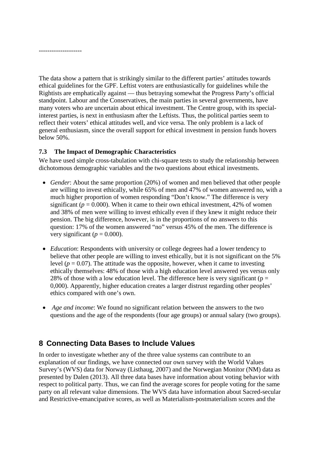--------------------

The data show a pattern that is strikingly similar to the different parties' attitudes towards ethical guidelines for the GPF. Leftist voters are enthusiastically for guidelines while the Rightists are emphatically against — thus betraying somewhat the Progress Party's official standpoint. Labour and the Conservatives, the main parties in several governments, have many voters who are uncertain about ethical investment. The Centre group, with its specialinterest parties, is next in enthusiasm after the Leftists. Thus, the political parties seem to reflect their voters' ethical attitudes well, and vice versa. The only problem is a lack of general enthusiasm, since the overall support for ethical investment in pension funds hovers below 50%.

### **7.3 The Impact of Demographic Characteristics**

We have used simple cross-tabulation with chi-square tests to study the relationship between dichotomous demographic variables and the two questions about ethical investments.

- *Gender*: About the same proportion (20%) of women and men believed that other people are willing to invest ethically, while 65% of men and 47% of women answered no, with a much higher proportion of women responding "Don't know." The difference is very significant ( $p = 0.000$ ). When it came to their own ethical investment, 42% of women and 38% of men were willing to invest ethically even if they knew it might reduce their pension. The big difference, however, is in the proportions of no answers to this question: 17% of the women answered "no" versus 45% of the men. The difference is very significant ( $p = 0.000$ ).
- *Education*: Respondents with university or college degrees had a lower tendency to believe that other people are willing to invest ethically, but it is not significant on the 5% level  $(p = 0.07)$ . The attitude was the opposite, however, when it came to investing ethically themselves: 48% of those with a high education level answered yes versus only 28% of those with a low education level. The difference here is very significant ( $p =$ 0,000). Apparently, higher education creates a larger distrust regarding other peoples' ethics compared with one's own.
- *Age and income*: We found no significant relation between the answers to the two questions and the age of the respondents (four age groups) or annual salary (two groups).

## **8 Connecting Data Bases to Include Values**

In order to investigate whether any of the three value systems can contribute to an explanation of our findings, we have connected our own survey with the World Values Survey's (WVS) data for Norway (Listhaug, 2007) and the Norwegian Monitor (NM) data as presented by Dalen (2013). All three data bases have information about voting behavior with respect to political party. Thus, we can find the average scores for people voting for the same party on all relevant value dimensions. The WVS data have information about Sacred-secular and Restrictive-emancipative scores, as well as Materialism-postmaterialism scores and the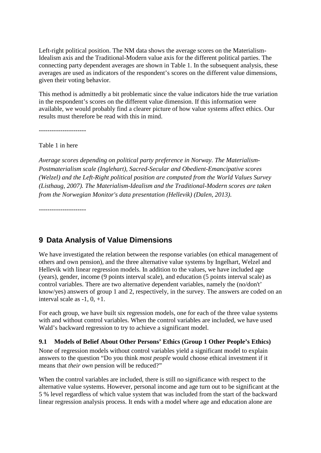Left-right political position. The NM data shows the average scores on the Materialism-Idealism axis and the Traditional-Modern value axis for the different political parties. The connecting party dependent averages are shown in Table 1. In the subsequent analysis, these averages are used as indicators of the respondent's scores on the different value dimensions, given their voting behavior.

This method is admittedly a bit problematic since the value indicators hide the true variation in the respondent's scores on the different value dimension. If this information were available, we would probably find a clearer picture of how value systems affect ethics. Our results must therefore be read with this in mind.

----------------------

Table 1 in here

*Average scores depending on political party preference in Norway. The Materialism-Postmaterialism scale (Inglehart), Sacred-Secular and Obedient-Emancipative scores (Welzel) and the Left-Right political position are computed from the World Values Survey (Listhaug, 2007). The Materialism-Idealism and the Traditional-Modern scores are taken from the Norwegian Monitor's data presentation (Hellevik) (Dalen, 2013)*.

----------------------

# **9 Data Analysis of Value Dimensions**

We have investigated the relation between the response variables (on ethical management of others and own pension), and the three alternative value systems by Ingelhart, Welzel and Hellevik with linear regression models. In addition to the values, we have included age (years), gender, income (9 points interval scale), and education (5 points interval scale) as control variables. There are two alternative dependent variables, namely the (no/don't' know/yes) answers of group 1 and 2, respectively, in the survey. The answers are coded on an interval scale as  $-1$ ,  $0$ ,  $+1$ .

For each group, we have built six regression models, one for each of the three value systems with and without control variables. When the control variables are included, we have used Wald's backward regression to try to achieve a significant model.

#### **9.1 Models of Belief About Other Persons' Ethics (Group 1 Other People's Ethics)**

None of regression models without control variables yield a significant model to explain answers to the question "Do you think *most people* would choose ethical investment if it means that *their own* pension will be reduced?"

When the control variables are included, there is still no significance with respect to the alternative value systems. However, personal income and age turn out to be significant at the 5 % level regardless of which value system that was included from the start of the backward linear regression analysis process. It ends with a model where age and education alone are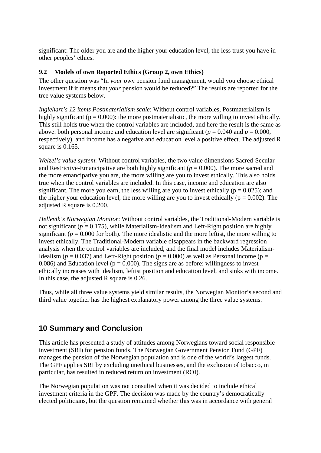significant: The older you are and the higher your education level, the less trust you have in other peoples' ethics.

### **9.2 Models of own Reported Ethics (Group 2, own Ethics)**

The other question was "In *your own* pension fund management, would you choose ethical investment if it means that *your* pension would be reduced?" The results are reported for the tree value systems below.

*Inglehart's 12 items Postmaterialism scale*: Without control variables, Postmaterialism is highly significant ( $p = 0.000$ ): the more postmaterialistic, the more willing to invest ethically. This still holds true when the control variables are included, and here the result is the same as above: both personal income and education level are significant ( $p = 0.040$  and  $p = 0.000$ , respectively), and income has a negative and education level a positive effect. The adjusted R square is 0.165.

*Welzel's value system*: Without control variables, the two value dimensions Sacred-Secular and Restrictive-Emancipative are both highly significant ( $p = 0.000$ ). The more sacred and the more emancipative you are, the more willing are you to invest ethically. This also holds true when the control variables are included. In this case, income and education are also significant. The more you earn, the less willing are you to invest ethically ( $p = 0.025$ ); and the higher your education level, the more willing are you to invest ethically ( $p = 0.002$ ). The adjusted R square is 0.200.

*Hellevik's Norwegian Monitor*: Without control variables, the Traditional-Modern variable is not significant ( $p = 0.175$ ), while Materialism-Idealism and Left-Right position are highly significant ( $p = 0.000$  for both). The more idealistic and the more leftist, the more willing to invest ethically. The Traditional-Modern variable disappears in the backward regression analysis when the control variables are included, and the final model includes Materialism-Idealism ( $p = 0.037$ ) and Left-Right position ( $p = 0.000$ ) as well as Personal income ( $p =$ 0.086) and Education level ( $p = 0.000$ ). The signs are as before: willingness to invest ethically increases with idealism, leftist position and education level, and sinks with income. In this case, the adjusted R square is 0.26.

Thus, while all three value systems yield similar results, the Norwegian Monitor's second and third value together has the highest explanatory power among the three value systems.

# **10 Summary and Conclusion**

This article has presented a study of attitudes among Norwegians toward social responsible investment (SRI) for pension funds. The Norwegian Government Pension Fund (GPF) manages the pension of the Norwegian population and is one of the world's largest funds. The GPF applies SRI by excluding unethical businesses, and the exclusion of tobacco, in particular, has resulted in reduced return on investment (ROI).

The Norwegian population was not consulted when it was decided to include ethical investment criteria in the GPF. The decision was made by the country's democratically elected politicians, but the question remained whether this was in accordance with general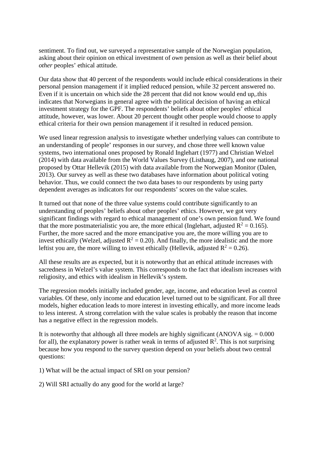sentiment. To find out, we surveyed a representative sample of the Norwegian population, asking about their opinion on ethical investment of *own* pension as well as their belief about *other* peoples' ethical attitude.

Our data show that 40 percent of the respondents would include ethical considerations in their personal pension management if it implied reduced pension, while 32 percent answered no. Even if it is uncertain on which side the 28 percent that did not know would end up,.this indicates that Norwegians in general agree with the political decision of having an ethical investment strategy for the GPF. The respondents' beliefs about other peoples' ethical attitude, however, was lower. About 20 percent thought other people would choose to apply ethical criteria for their own pension management if it resulted in reduced pension.

We used linear regression analysis to investigate whether underlying values can contribute to an understanding of people' responses in our survey, and chose three well known value systems, two international ones proposed by Ronald Inglehart (1977) and Christian Welzel (2014) with data available from the World Values Survey (Listhaug, 2007), and one national proposed by Ottar Hellevik (2015) with data available from the Norwegian Monitor (Dalen, 2013). Our survey as well as these two databases have information about political voting behavior. Thus, we could connect the two data bases to our respondents by using party dependent averages as indicators for our respondents' scores on the value scales.

It turned out that none of the three value systems could contribute significantly to an understanding of peoples' beliefs about other peoples' ethics. However, we got very significant findings with regard to ethical management of one's own pension fund. We found that the more postmaterialistic you are, the more ethical (Inglehart, adjusted  $R^2 = 0.165$ ). Further, the more sacred and the more emancipative you are, the more willing you are to invest ethically (Welzel, adjusted  $R^2 = 0.20$ ). And finally, the more idealistic and the more leftist you are, the more willing to invest ethically (Hellevik, adjusted  $R^2 = 0.26$ ).

All these results are as expected, but it is noteworthy that an ethical attitude increases with sacredness in Welzel's value system. This corresponds to the fact that idealism increases with religiosity, and ethics with idealism in Hellevik's system.

The regression models initially included gender, age, income, and education level as control variables. Of these, only income and education level turned out to be significant. For all three models, higher education leads to more interest in investing ethically, and more income leads to less interest. A strong correlation with the value scales is probably the reason that income has a negative effect in the regression models.

It is noteworthy that although all three models are highly significant (ANOVA sig.  $= 0.000$ ) for all), the explanatory power is rather weak in terms of adjusted  $\mathbb{R}^2$ . This is not surprising because how you respond to the survey question depend on your beliefs about two central questions:

1) What will be the actual impact of SRI on your pension?

2) Will SRI actually do any good for the world at large?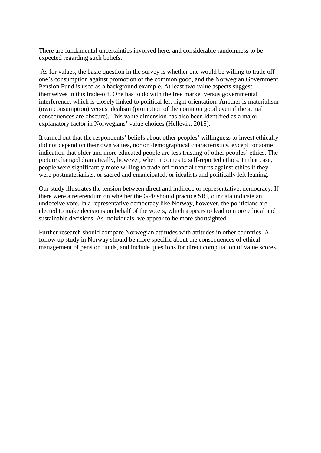There are fundamental uncertainties involved here, and considerable randomness to be expected regarding such beliefs.

As for values, the basic question in the survey is whether one would be willing to trade off one's consumption against promotion of the common good, and the Norwegian Government Pension Fund is used as a background example. At least two value aspects suggest themselves in this trade-off. One has to do with the free market versus governmental interference, which is closely linked to political left-right orientation. Another is materialism (own consumption) versus idealism (promotion of the common good even if the actual consequences are obscure). This value dimension has also been identified as a major explanatory factor in Norwegians' value choices (Hellevik, 2015).

It turned out that the respondents' beliefs about other peoples' willingness to invest ethically did not depend on their own values, nor on demographical characteristics, except for some indication that older and more educated people are less trusting of other peoples' ethics. The picture changed dramatically, however, when it comes to self-reported ethics. In that case, people were significantly more willing to trade off financial returns against ethics if they were postmaterialists, or sacred and emancipated, or idealists and politically left leaning.

Our study illustrates the tension between direct and indirect, or representative, democracy. If there were a referendum on whether the GPF should practice SRI, our data indicate an undeceive vote. In a representative democracy like Norway, however, the politicians are elected to make decisions on behalf of the voters, which appears to lead to more ethical and sustainable decisions. As individuals, we appear to be more shortsighted.

Further research should compare Norwegian attitudes with attitudes in other countries. A follow up study in Norway should be more specific about the consequences of ethical management of pension funds, and include questions for direct computation of value scores.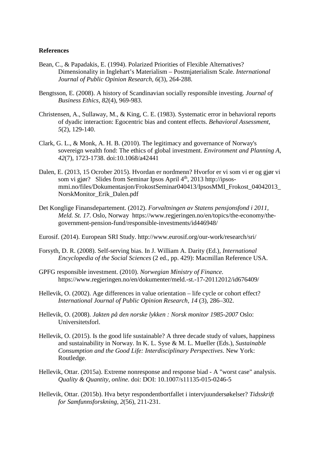#### **References**

- Bean, C., & Papadakis, E. (1994). Polarized Priorities of Flexible Alternatives? Dimensionality in Inglehart's Materialism – Postmjaterialism Scale. *International Journal of Public Opinion Research, 6*(3), 264-288.
- Bengtsson, E. (2008). A history of Scandinavian socially responsible investing. *Journal of Business Ethics, 82*(4), 969-983.
- Christensen, A., Sullaway, M., & King, C. E. (1983). Systematic error in behavioral reports of dyadic interaction: Egocentric bias and content effects. *Behavioral Assessment, 5*(2), 129-140.
- Clark, G. L., & Monk, A. H. B. (2010). The legitimacy and governance of Norway's sovereign wealth fond: The ethics of global investment. *Environment and Planning A, 42*(7), 1723-1738. doi:10.1068/a42441
- Dalen, E. (2013, 15 Ocrober 2015). Hvordan er nordmenn? Hvorfor er vi som vi er og gjør vi som vi gjør? Slides from Seminar Ipsos April  $4<sup>th</sup>$ , 2013 http://ipsosmmi.no/files/Dokumentasjon/FrokostSeminar040413/IpsosMMI\_Frokost\_04042013\_ NorskMonitor\_Erik\_Dalen.pdf
- Det Konglige Finansdepartement. (2012). *Forvaltningen av Statens pensjonsfond i 2011, Meld. St. 17.* Oslo, Norway https://www.regieringen.no/en/topics/the-economy/thegovernment-pension-fund/responsible-investments/id446948/
- Eurosif. (2014). European SRI Study. http://www.eurosif.org/our-work/research/sri/
- Forsyth, D. R. (2008). Self-serving bias. In J. William A. Darity (Ed.), *International Encyclopedia of the Social Sciences* (2 ed., pp. 429): Macmillan Reference USA.
- GPFG responsible investment. (2010). *Norwegian Ministry of Finance.* https://www.regjeringen.no/en/dokumenter/meld.-st.-17-20112012/id676409/
- Hellevik, O. (2002). Age differences in value orientation life cycle or cohort effect? *International Journal of Public Opinion Research, 14* (3), 286–302.
- Hellevik, O. (2008). *Jakten på den norske lykken : Norsk monitor 1985-2007* Oslo: Universitetsforl.
- Hellevik, O. (2015). Is the good life sustainable? A three decade study of values, happiness and sustainability in Norway. In K. L. Syse & M. L. Mueller (Eds.), *Sustainable Consumption and the Good Life: Interdisciplinary Perspectives*. New York: Routledge.
- <span id="page-20-0"></span>Hellevik, Ottar. (2015a). Extreme nonresponse and response biad - A "worst case" analysis. *Quality & Quantity, online*. doi: DOI: 10.1007/s11135-015-0246-5
- Hellevik, Ottar. (2015b). Hva betyr respondentbortfallet i intervjuundersøkelser? *Tidsskrift for Samfunnsforskning, 2*(56), 211-231.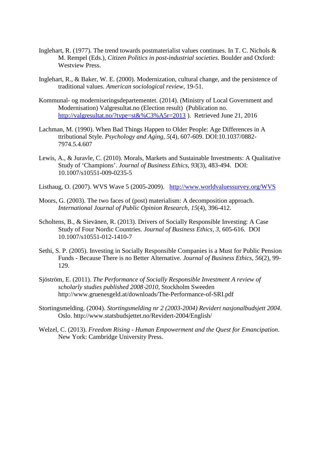- Inglehart, R. (1977). The trend towards postmaterialist values continues. In T. C. Nichols & M. Rempel (Eds.), *Citizen Politics in post-industrial societies*. Boulder and Oxford: Westview Press.
- Inglehart, R., & Baker, W. E. (2000). Modernization, cultural change, and the persistence of traditional values. *American sociological review*, 19-51.
- <span id="page-21-0"></span>Kommunal- og moderniseringsdepartementet. (2014). (Ministry of Local Government and Modernisation) Valgresultat.no (Election result) (Publication no. <http://valgresultat.no/?type=st&%C3%A5r=2013> ). Retrieved June 21, 2016
- Lachman, M. (1990). When Bad Things Happen to Older People: Age Differences in A ttributional Style. *Psychology and Aging, 5*(4), 607-609. DOI:10.1037/0882- 7974.5.4.607
- Lewis, A., & Juravle, C. (2010). Morals, Markets and Sustainable Investments: A Qualitative Study of 'Champions'. *Journal of Business Ethics, 93*(3), 483-494. DOI: 10.1007/s10551-009-0235-5
- Listhaug, O. (2007). WVS Wave 5 (2005-2009). <http://www.worldvaluessurvey.org/WVS>
- Moors, G. (2003). The two faces of (post) materialism: A decomposition approach. *International Journal of Public Opinion Research, 15*(4), 396-412.
- Scholtens, B., & Sievänen, R. (2013). Drivers of Socially Responsible Investing: A Case Study of Four Nordic Countries. *Journal of Business Ethics, 3*, 605-616. DOI 10.1007/s10551-012-1410-7
- Sethi, S. P. (2005). Investing in Socially Responsible Companies is a Must for Public Pension Funds - Because There is no Better Alternative. *Journal of Business Ethics, 56*(2), 99- 129.
- Sjöström, E. (2011). *The Performance of Socially Responsible Investment A review of scholarly studies published 2008*‐*2010,* Stockholm Sweeden http://www.gruenesgeld.at/downloads/The-Performance-of-SRI.pdf
- Stortingsmelding. (2004). *Stortingsmelding nr 2 (2003-2004) Revidert nasjonalbudsjett 2004*. Oslo. http://www.statsbudsjettet.no/Revidert-2004/English/
- <span id="page-21-1"></span>Welzel, C. (2013). *Freedom Rising - Human Empowerment and the Quest for Emancipation*. New York: Cambridge University Press.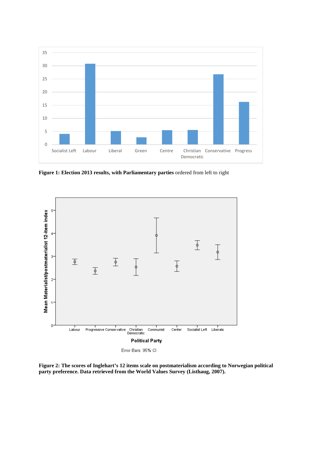

**Figure 1: Election 2013 results, with Parliamentary parties** ordered from left to right



**Figure 2: The scores of Inglehart's 12 items scale on postmaterialism according to Norwegian political party preference. Data retrieved from the World Values Survey (Listhaug, 2007).**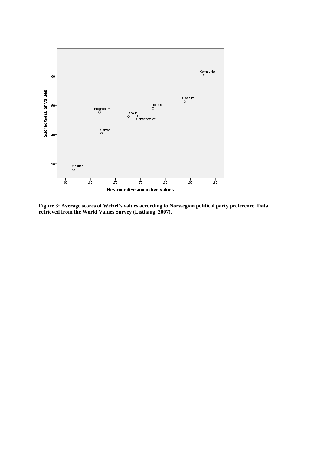

**Figure 3: Average scores of Welzel's values according to Norwegian political party preference. Data retrieved from the World Values Survey (Listhaug, 2007).**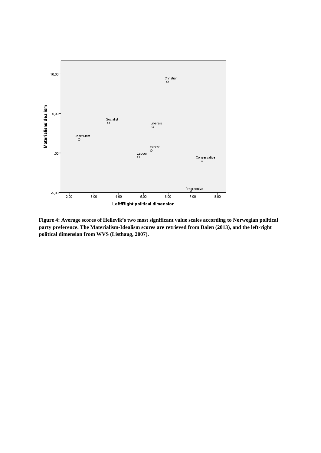

**Figure 4: Average scores of Hellevik's two most significant value scales according to Norwegian political party preference. The Materialism-Idealism scores are retrieved from Dalen (2013), and the left-right political dimension from WVS (Listhaug, 2007).**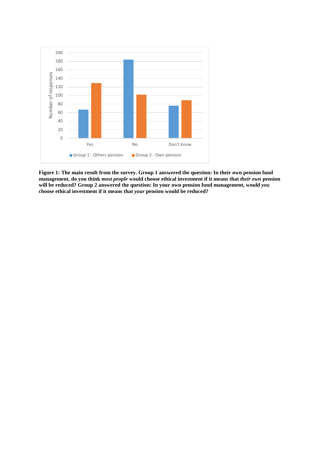

**Figure 1: The main result from the survey. Group 1 answered the question: In their own pension fund management, do you think** *most people* **would choose ethical investment if it means that** *their own* **pension**  will be reduced? Group 2 answered the question: In your own pension fund management, would *you* **choose ethical investment if it means that** *your* **pension would be reduced?**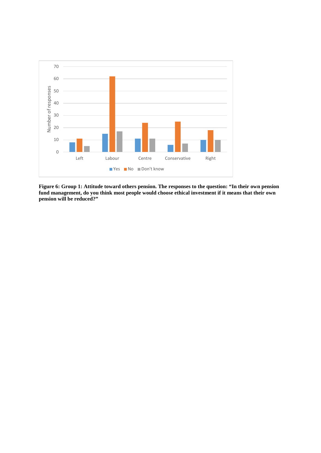

**Figure 6: Group 1: Attitude toward others pension. The responses to the question: "In their own pension**  fund management, do you think most people would choose ethical investment if it means that their own **pension will be reduced?"**